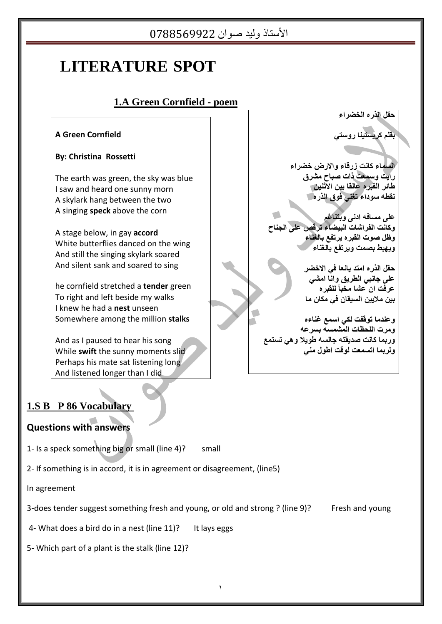# **LITERATURE SPOT**

## **1.A Green Cornfield - poem**

#### **A Green Cornfield**

#### **By: Christina Rossetti**

The earth was green, the sky was blue I saw and heard one sunny morn A skylark hang between the two A singing **speck** above the corn

 A stage below, in gay **accord** White butterflies danced on the wing And still the singing skylark soared And silent sank and soared to sing

he cornfield stretched a **tender** green To right and left beside my walks I knew he had a **nest** unseen Somewhere among the million **stalks**

And as I paused to hear his song While **swift** the sunny moments slid Perhaps his mate sat listening long And listened longer than I did

**حمم انزسي انخضشاء** 

**بمهم كشيستيىا سَستي** 

السلماء كانت زرقاء والارض خضراء **سايت َسمعت رات صباح مششق طائش انمبشي عانما بيه االثىيه ومطً سُداء تغىي فُق انزسي** 

**عهى مسافً ادوى َبتىاغم َكاوت انفشاشات انبيضاء تشلص عهى انجىاح َظم صُت انمبشي يشتفع بانغىاء َيٍبط بصمت َيشتفع بانغىاء** 

> **حقل الذره امتد يانعا في الاخضر عهى جاوبي انطشيك َاوا امشي عشفت ان عشا مخبأ نهمبشي بيه مالييه انسيمان في مكان ما**

**َعىذما تُلفت نكي اسمع غىاءي َمشت انهحظات انمشمسً بسشعً َسبما كاوت صذيمتً جانسً طُيال ٌَي تستمع َنشبما اتسمعت نُلت اطُل مىي** 

#### **1.S B P 86 Vocabulary**

#### **Questions with answers**

- 1- Is a speck something big or small (line 4)? small
- 2- If something is in accord, it is in agreement or disagreement, (line5)

In agreement

3-does tender suggest something fresh and young, or old and strong ? (line 9)? Fresh and young

4- What does a bird do in a nest (line 11)? It lays eggs

5- Which part of a plant is the stalk (line 12)?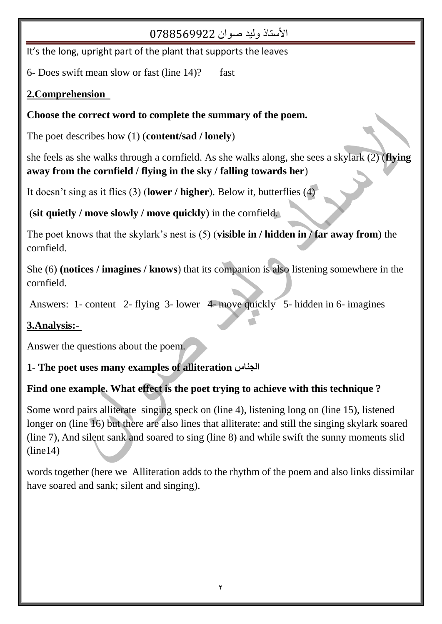It's the long, upright part of the plant that supports the leaves

6- Does swift mean slow or fast (line  $14$ )? fast

## **2.Comprehension**

## **Choose the correct word to complete the summary of the poem.**

The poet describes how (1) (**content/sad / lonely**)

she feels as she walks through a cornfield. As she walks along, she sees a skylark (2) (**flying away from the cornfield / flying in the sky / falling towards her**)

It doesn"t sing as it flies (3) (**lower / higher**). Below it, butterflies (4)

(**sit quietly / move slowly / move quickly**) in the cornfield.

The poet knows that the skylark"s nest is (5) (**visible in / hidden in / far away from**) the cornfield.

She (6) **(notices / imagines / knows**) that its companion is also listening somewhere in the cornfield.

Answers: 1- content 2- flying 3- lower 4- move quickly 5- hidden in 6- imagines

# **3.Analysis:-**

Answer the questions about the poem.

## **1- The poet uses many examples of alliteration الجناس**

# **Find one example. What effect is the poet trying to achieve with this technique ?**

Some word pairs alliterate singing speck on (line 4), listening long on (line 15), listened longer on (line 16) but there are also lines that alliterate: and still the singing skylark soared (line 7), And silent sank and soared to sing (line 8) and while swift the sunny moments slid  $(line14)$ 

words together (here we Alliteration adds to the rhythm of the poem and also links dissimilar have soared and sank; silent and singing).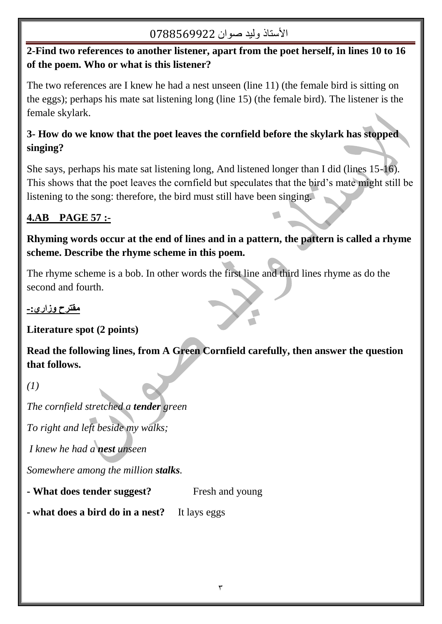## **2-Find two references to another listener, apart from the poet herself, in lines 10 to 16 of the poem. Who or what is this listener?**

The two references are I knew he had a nest unseen (line 11) (the female bird is sitting on the eggs); perhaps his mate sat listening long (line 15) (the female bird). The listener is the female skylark.

## **3- How do we know that the poet leaves the cornfield before the skylark has stopped singing?**

She says, perhaps his mate sat listening long, And listened longer than I did (lines 15-16). This shows that the poet leaves the cornfield but speculates that the bird"s mate might still be listening to the song: therefore, the bird must still have been singing.

## **4.AB PAGE 57 :-**

**Rhyming words occur at the end of lines and in a pattern, the pattern is called a rhyme scheme. Describe the rhyme scheme in this poem.**

The rhyme scheme is a bob. In other words the first line and third lines rhyme as do the second and fourth.

## **مقترح وزاري-:**

**Literature spot (2 points)** 

**Read the following lines, from A Green Cornfield carefully, then answer the question that follows.** 

*(1)*

*The cornfield stretched a tender green* 

*To right and left beside my walks;*

*I knew he had a nest unseen* 

*Somewhere among the million stalks.* 

**- What does tender suggest?** Fresh and young

**- what does a bird do in a nest?** It lays eggs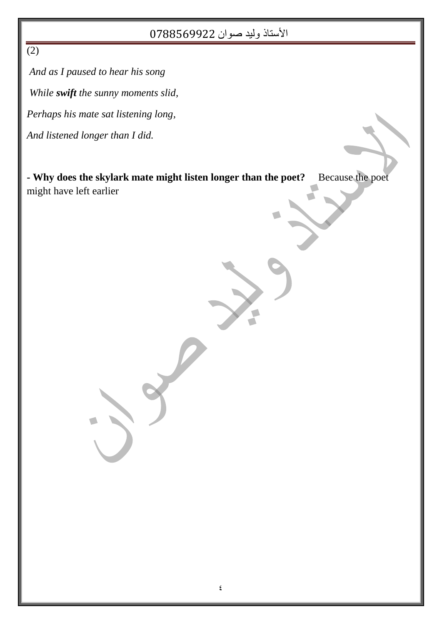$\overline{(2)}$ 

*And as I paused to hear his song While swift the sunny moments slid, Perhaps his mate sat listening long, And listened longer than I did.*

**- Why does the skylark mate might listen longer than the poet?** Because the poet might have left earlier

 $\overline{\phantom{a}}$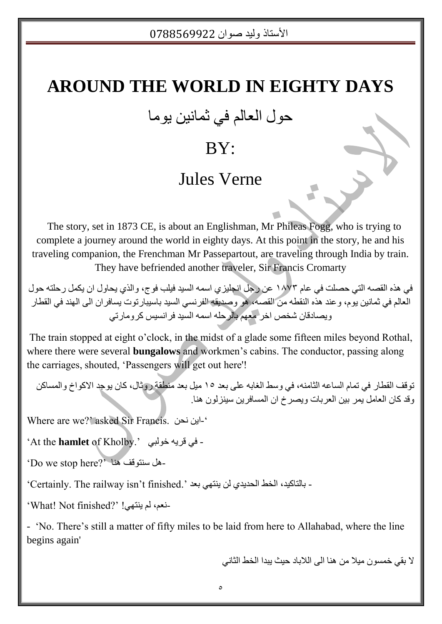# **AROUND THE WORLD IN EIGHTY DAYS**

حول العالم في ثمانين يوما

# BY:

# Jules Verne

 The story, set in 1873 CE, is about an Englishman, Mr Phileas Fogg, who is trying to complete a journey around the world in eighty days. At this point in the story, he and his traveling companion, the Frenchman Mr Passepartout, are traveling through India by train. They have befriended another traveler, Sir Francis Cromarty

في هذه القصـه التي حصلت في عام ١٨٧٣ عن رجل انجليزي اسمه السيد فيلب فوج، والذي يحاول ان يكمل رحلته حول العالم في ثمانين يوم، وعند هذه النقطه من القصـه، هو وصديقه الفرنسي السيد بـاسيبارنوت يسافران الـي الـهند في القطار و بصبادقان شخص اخر ِ مُعِهِمَ بِالرِّ حله اسمه السبدِ فر انسبس کر و مار تے

The train stopped at eight o"clock, in the midst of a glade some fifteen miles beyond Rothal, where there were several **bungalows** and workmen's cabins. The conductor, passing along the carriages, shouted, "Passengers will get out here'!

توقف القطار في تمام الساعه الثامنه، في وسط الغابه على بعد 10 ميل بعد مَنطقة روثال، كان يوجد الاكواخ والمساكن وقد كان العامل بمر بين العربات ويصرخ ان المسافرين سينز لون هنا.

Where are we?' asked Sir Francis. `-اين نحن

"At the **hamlet** of Kholby." جٌٟٛخ ٗ٠لش فٟ -

'Do we stop here?' على سنتوقف هنا ``

- بالتاكيد، الخط الحديدي لن ينتهي بعد ".Certainly. The railway isn't finished"

ٔ-ع،ُ ٌُ ٕ٠حٟٙ! "?finished Not! What"

- "No. There"s still a matter of fifty miles to be laid from here to Allahabad, where the line begins again'

لا بقي خمسون مبلا من هنا الى اللاباد حبث ببدا الخط الثاني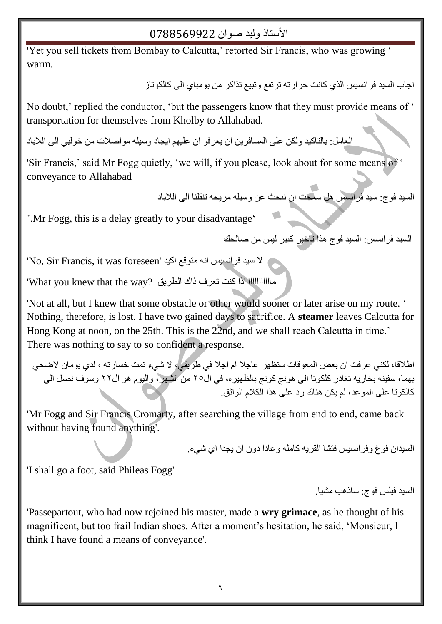'Yet you sell tickets from Bombay to Calcutta," retorted Sir Francis, who was growing ' warm.

اجاب السيد فر انسيس الذي كانت حر ار ته تر تفع و تبيع تذاكر ٍ من بو مباي الى كالكو تاز ِ

No doubt,' replied the conductor, 'but the passengers know that they must provide means of ' transportation for themselves from Kholby to Allahabad.

العامل: بالتاكيد ولكن على المسافرين ان يعرفو ان عليهم ايجاد وسيله مواصلات من خولبي الى اللاباد

'Sir Francis,' said Mr Fogg quietly, 'we will, if you please, look about for some means of ' conveyance to Allahabad

السيد فوج: سيد فرانسس هل سمحت ان نبحث عن وسيله مريحه تنقلنا الى اللاباد

'.Mr Fogg, this is a delay greatly to your disadvantage'

السيد فرانسس: السيد فوج هذا تأخير كبير ليس من صالحك

I'ho, Sir Francis, it was foreseen' كالسيد فرانسيس انه متوقع اكيد '

ِماااااااااااااااااااااااااااالا كنت تعرف ذاك الطريق ?What you knew that the way'

'Not at all, but I knew that some obstacle or other would sooner or later arise on my route. ' Nothing, therefore, is lost. I have two gained days to sacrifice. A **steamer** leaves Calcutta for Hong Kong at noon, on the 25th. This is the 22nd, and we shall reach Calcutta in time.' There was nothing to say to so confident a response.

اطلاقا، لكني عرفت ان بعض المعوفات ستظهر عاجلا ام اجلا في طريقي، لا شيء تمت خسار ته ، لدى يومان لاضحى بهما، سفينه بخاريه تغادر كلكوتا الى هونج كونج بالظهيره، في ال70 من الشّهر ، واليوم هو ال7٢ وسوف نصل الى كالكو تا على المو عد، لم يكن هناك ر د على هذا الكلام الواثق.

'Mr Fogg and Sir Francis Cromarty, after searching the village from end to end, came back without having found anything'.

السبدان فو غ و فر انسبس فتشا القر به كامله و عادا دو ن ان بجدا ای شیء.

'I shall go a foot, said Phileas Fogg'

السبد فبلس فوج: ساذهب مشبا.

'Passepartout, who had now rejoined his master, made a **wry grimace**, as he thought of his magnificent, but too frail Indian shoes. After a moment's hesitation, he said, 'Monsieur, I think I have found a means of conveyance'.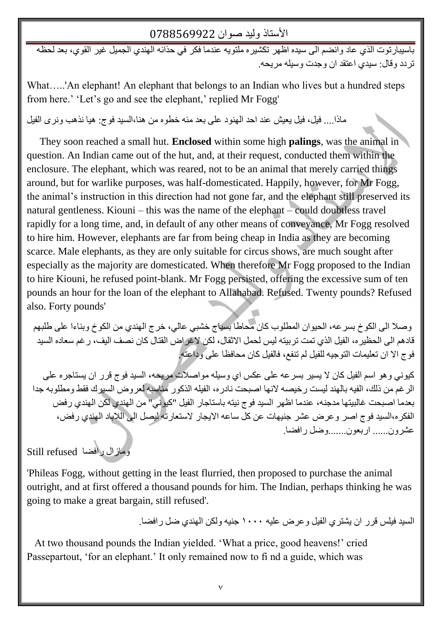باسيبارتوت الذي عاد وانضم الى سيده اظهر تكشيره ملتويه عندما فكر في حذائه الهندي الجميل غير القوي، بعد لحظه تر دد و قال: سيدي اعتقد ان و جدت و سيله مر يحه.

What.....'An elephant! An elephant that belongs to an Indian who lives but a hundred steps from here.' 'Let's go and see the elephant,' replied Mr Fogg'

ماذا.... فيل، فيل يعيش عند احد الهنود على بعد مئه خطوه من هنا،السيد فوج: هيا نذهب ونرى الفيل

 They soon reached a small hut. **Enclosed** within some high **palings**, was the animal in question. An Indian came out of the hut, and, at their request, conducted them within the enclosure. The elephant, which was reared, not to be an animal that merely carried things around, but for warlike purposes, was half-domesticated. Happily, however, for Mr Fogg, the animal"s instruction in this direction had not gone far, and the elephant still preserved its natural gentleness. Kiouni – this was the name of the elephant – could doubtless travel rapidly for a long time, and, in default of any other means of conveyance, Mr Fogg resolved to hire him. However, elephants are far from being cheap in India as they are becoming scarce. Male elephants, as they are only suitable for circus shows, are much sought after especially as the majority are domesticated. When therefore Mr Fogg proposed to the Indian to hire Kiouni, he refused point-blank. Mr Fogg persisted, offering the excessive sum of ten pounds an hour for the loan of the elephant to Allahabad. Refused. Twenty pounds? Refused also. Forty pounds'

وصلا الى الكوخ بسر عه، الحيوان المطلوب كان محاطاً بسياج خشبي عالى، خرج الهندي من الكوخ وبناءا على طلبهم قادهم الى الحظيرِ ه، الفيل الذي تمت تربيته ليس لحمل الاثقال، لكن لاغراض القتال كان نصف اليف، رغم سعاده السيد فوج الا ان تعليمات التوجيه للفيل لم تنفع، فالفيل كان محافظا على وداعته!

كيوني و هو اسم الفيل كان لا يسير بسر عه على عكس اي وسيله مواصلات مريحه، السيد فوج قرر ان يستاجره على الر غم من ذلك، الفيه بالهند ليست ر خيصه لانها اصبحت نادر ه، الفيله الذكور ِ مناسبه لعر و ض السير ك فقط و مطلو به جدا بعدما اصبحت غالبيتها مدجنه، عندما اظهر السيد فوج نيته باستاجار الفيل "كيوني" من الهندي لكن الهندي رفض الفكر ه،السيد فوج اصر وعرض عشر جنيهات عن كل ساعه الايجار لاستعارته ليصل الى اللاباد الهندي رفض، عشرون...... اربعون.......وضل رافضا.

ِٚبصاي سافعب refused Still

'Phileas Fogg, without getting in the least flurried, then proposed to purchase the animal outright, and at first offered a thousand pounds for him. The Indian, perhaps thinking he was going to make a great bargain, still refused'.

السيد فيلس قرر ان يشتري الفيل وعرض عليه ١٠٠٠ جنيه ولكن الهندي ضل رافضا.

 At two thousand pounds the Indian yielded. "What a price, good heavens!" cried Passepartout, 'for an elephant.' It only remained now to fi nd a guide, which was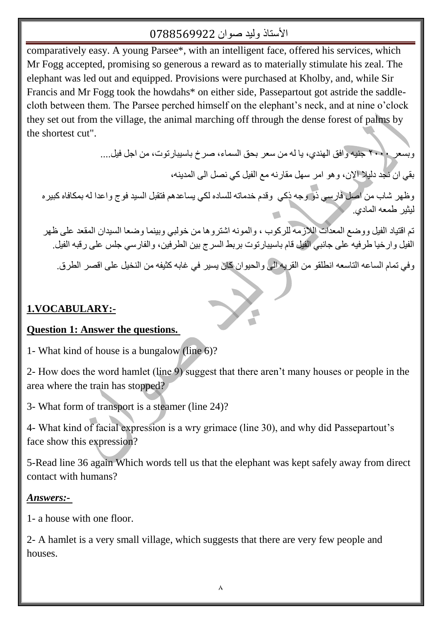comparatively easy. A young Parsee\*, with an intelligent face, offered his services, which Mr Fogg accepted, promising so generous a reward as to materially stimulate his zeal. The elephant was led out and equipped. Provisions were purchased at Kholby, and, while Sir Francis and Mr Fogg took the howdahs\* on either side, Passepartout got astride the saddlecloth between them. The Parsee perched himself on the elephant"s neck, and at nine o"clock they set out from the village, the animal marching off through the dense forest of palms by the shortest cut".

وبسعر 1010 جنيه و افق الهندي، يا له من سعر بحق السماء، صرخ باسيبار توت، من اجل فيل....

بقي ان ُنجد دليلا الإن، و هو امر سهل مقارنه مع الفيل كي نصل الى المدينه،

وظهر شاب من اصل فارسي ذو وجه ذكي وقدم خدماته للساده لكي يساعدهم فتقبل السيد فوج واعدا له بمكافاه كبيره لنثير طمعه المادي.

تم اقتياد الفيل ووضع المعدات اللازمة للركوب ، والمونه اشتروها من خولبي وبينما وضعا السيدان المقعد على ظهر الفيل وارخيا طرفيه على جانبي الفيل قام باسيبارتوت بربط السرج بين الطرفين، والفارسي جلس على رقبه الفيل.

وفي تمام الساعه التاسعه انطلقو من القريه الى والحيوان كان يسير في غابه كثيفه من النخيل على اقصر الطرق.

 $\overline{\mathbf{C}}$ 

## **1.VOCABULARY:-**

#### **Question 1: Answer the questions.**

1- What kind of house is a bungalow (line 6)?

2- How does the word hamlet (line 9) suggest that there aren"t many houses or people in the area where the train has stopped?

3- What form of transport is a steamer (line 24)?

4- What kind of facial expression is a wry grimace (line 30), and why did Passepartout"s face show this expression?

5-Read line 36 again Which words tell us that the elephant was kept safely away from direct contact with humans?

#### *Answers:-*

1- a house with one floor.

2- A hamlet is a very small village, which suggests that there are very few people and houses.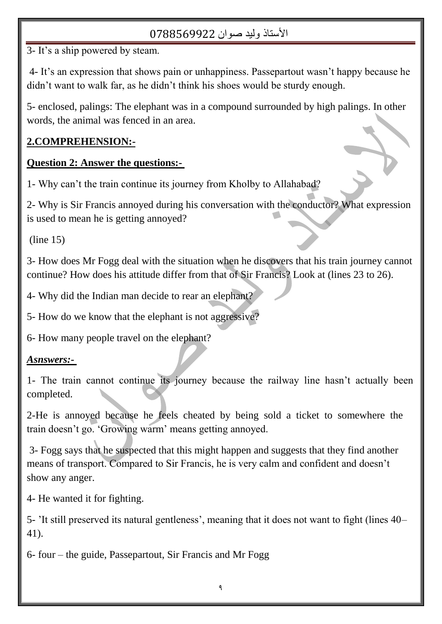3- It"s a ship powered by steam.

4- It"s an expression that shows pain or unhappiness. Passepartout wasn"t happy because he didn"t want to walk far, as he didn"t think his shoes would be sturdy enough.

5- enclosed, palings: The elephant was in a compound surrounded by high palings. In other words, the animal was fenced in an area.

## **2.COMPREHENSION:-**

## **Question 2: Answer the questions:-**

1- Why can"t the train continue its journey from Kholby to Allahabad?

2- Why is Sir Francis annoyed during his conversation with the conductor? What expression is used to mean he is getting annoyed?

(line 15)

3- How does Mr Fogg deal with the situation when he discovers that his train journey cannot continue? How does his attitude differ from that of Sir Francis? Look at (lines 23 to 26).

4- Why did the Indian man decide to rear an elephant?

5- How do we know that the elephant is not aggressive?

6- How many people travel on the elephant?

## *Asnswers:-*

1- The train cannot continue its journey because the railway line hasn"t actually been completed.

2-He is annoyed because he feels cheated by being sold a ticket to somewhere the train doesn"t go. "Growing warm" means getting annoyed.

3- Fogg says that he suspected that this might happen and suggests that they find another means of transport. Compared to Sir Francis, he is very calm and confident and doesn"t show any anger.

4- He wanted it for fighting.

5- "It still preserved its natural gentleness", meaning that it does not want to fight (lines 40– 41).

6- four – the guide, Passepartout, Sir Francis and Mr Fogg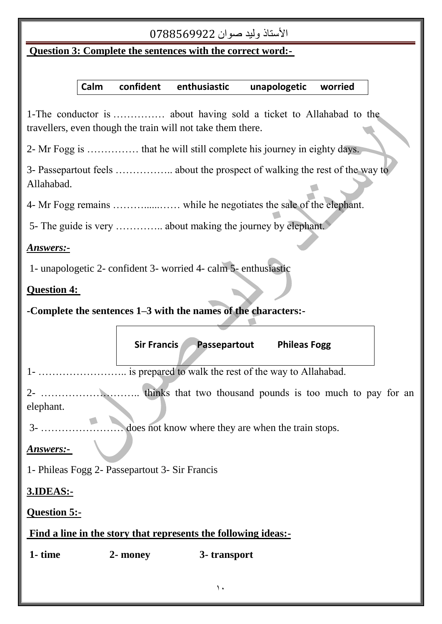## **Question 3: Complete the sentences with the correct word:-**

## **Calm confident enthusiastic unapologetic worried**

1-The conductor is …………… about having sold a ticket to Allahabad to the travellers, even though the train will not take them there.

2- Mr Fogg is …………… that he will still complete his journey in eighty days.

3- Passepartout feels …………….. about the prospect of walking the rest of the way to Allahabad.

4- Mr Fogg remains ………......…… while he negotiates the sale of the elephant.

5- The guide is very ………….. about making the journey by elephant.

#### *Answers:-*

1- unapologetic 2- confident 3- worried 4- calm 5- enthusiastic

### **Question 4:**

**-Complete the sentences 1–3 with the names of the characters:-**

|                                                                | Sir Francis | Passepartout | <b>Phileas Fogg</b> |  |
|----------------------------------------------------------------|-------------|--------------|---------------------|--|
|                                                                |             |              |                     |  |
|                                                                |             |              |                     |  |
| elephant.                                                      |             |              |                     |  |
| does not know where they are when the train stops.             |             |              |                     |  |
| Answers:-                                                      |             |              |                     |  |
| 1- Phileas Fogg 2- Passepartout 3- Sir Francis                 |             |              |                     |  |
| 3.IDEAS:-                                                      |             |              |                     |  |
| <b>Question 5:-</b>                                            |             |              |                     |  |
| Find a line in the story that represents the following ideas:- |             |              |                     |  |
| 1- time                                                        | 2- money    | 3- transport |                     |  |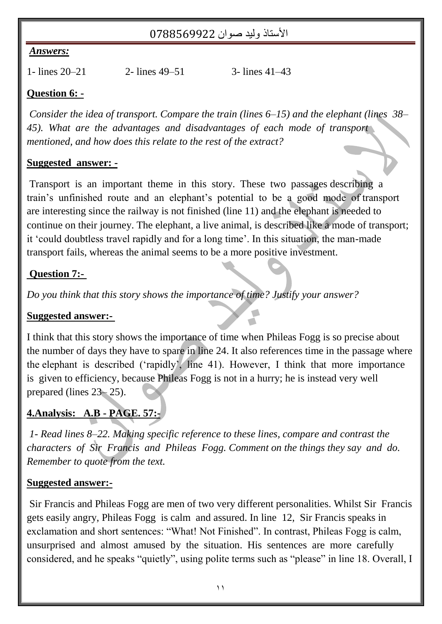#### *Answers:*

1- lines 20–21 2- lines 49–51 3- lines 41–43

### **Question 6: -**

*Consider the idea of transport. Compare the train (lines 6–15) and the elephant (lines 38– 45). What are the advantages and disadvantages of each mode of transport mentioned, and how does this relate to the rest of the extract?* 

#### **Suggested answer: -**

Transport is an important theme in this story. These two passages describing a train"s unfinished route and an elephant"s potential to be a good mode of transport are interesting since the railway is not finished (line 11) and the elephant is needed to continue on their journey. The elephant, a live animal, is described like a mode of transport; it "could doubtless travel rapidly and for a long time". In this situation, the man-made transport fails, whereas the animal seems to be a more positive investment.

#### **Question 7:-**

*Do you think that this story shows the importance of time? Justify your answer?*

#### **Suggested answer:-**

I think that this story shows the importance of time when Phileas Fogg is so precise about the number of days they have to spare in line 24. It also references time in the passage where the elephant is described ("rapidly", line 41). However, I think that more importance is given to efficiency, because Phileas Fogg is not in a hurry; he is instead very well prepared (lines 23– 25).

## **4.Analysis: A.B - PAGE. 57:-**

*1- Read lines 8–22. Making specific reference to these lines, compare and contrast the characters of Sir Francis and Phileas Fogg. Comment on the things they say and do. Remember to quote from the text.* 

#### **Suggested answer:-**

Sir Francis and Phileas Fogg are men of two very different personalities. Whilst Sir Francis gets easily angry, Phileas Fogg is calm and assured. In line 12, Sir Francis speaks in exclamation and short sentences: "What! Not Finished". In contrast, Phileas Fogg is calm, unsurprised and almost amused by the situation. His sentences are more carefully considered, and he speaks "quietly", using polite terms such as "please" in line 18. Overall, I